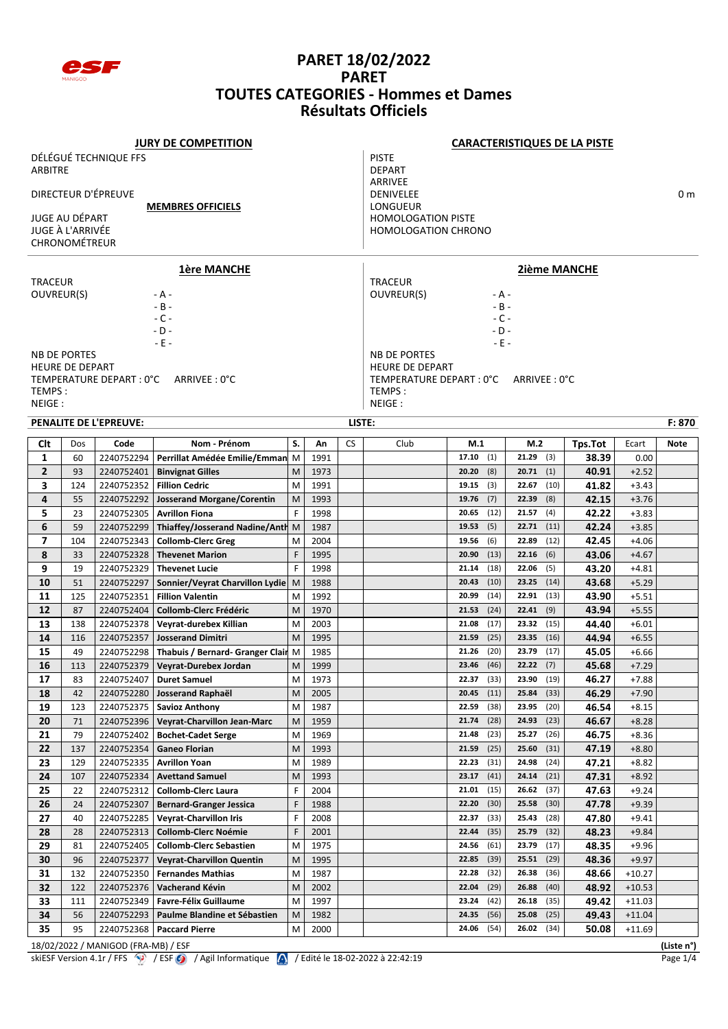

|                                            |                        |                                     | <b>JURY DE COMPETITION</b>                         |        |                           |                            |                              |                                | <b>CARACTERISTIQUES DE LA PISTE</b> |                |                    |            |
|--------------------------------------------|------------------------|-------------------------------------|----------------------------------------------------|--------|---------------------------|----------------------------|------------------------------|--------------------------------|-------------------------------------|----------------|--------------------|------------|
|                                            |                        | DÉLÉGUÉ TECHNIQUE FFS               |                                                    |        |                           |                            | <b>PISTE</b>                 |                                |                                     |                |                    |            |
| <b>ARBITRE</b>                             |                        |                                     |                                                    |        |                           |                            | <b>DEPART</b>                |                                |                                     |                |                    |            |
|                                            |                        |                                     |                                                    |        |                           |                            | ARRIVEE                      |                                |                                     |                |                    |            |
|                                            |                        | DIRECTEUR D'ÉPREUVE                 |                                                    |        |                           |                            | <b>DENIVELEE</b><br>LONGUEUR |                                |                                     |                |                    | 0 m        |
| <b>MEMBRES OFFICIELS</b><br>JUGE AU DÉPART |                        |                                     |                                                    |        | <b>HOMOLOGATION PISTE</b> |                            |                              |                                |                                     |                |                    |            |
| JUGE À L'ARRIVÉE                           |                        |                                     |                                                    |        |                           | <b>HOMOLOGATION CHRONO</b> |                              |                                |                                     |                |                    |            |
| CHRONOMÉTREUR                              |                        |                                     |                                                    |        |                           |                            |                              |                                |                                     |                |                    |            |
|                                            |                        |                                     |                                                    |        |                           |                            |                              |                                |                                     |                |                    |            |
|                                            |                        |                                     | <b>1ère MANCHE</b>                                 |        |                           |                            |                              |                                | <b>2ième MANCHE</b>                 |                |                    |            |
| <b>TRACEUR</b>                             |                        |                                     |                                                    |        |                           |                            | <b>TRACEUR</b>               |                                |                                     |                |                    |            |
| OUVREUR(S)                                 |                        |                                     | - A -<br>$-B -$                                    |        |                           |                            | OUVREUR(S)                   | - A -<br>$- B -$               |                                     |                |                    |            |
|                                            |                        |                                     | $-C -$                                             |        |                           |                            |                              | $-C -$                         |                                     |                |                    |            |
|                                            |                        |                                     | $-D -$                                             |        |                           |                            |                              | - D -                          |                                     |                |                    |            |
|                                            |                        |                                     | - E -                                              |        |                           |                            |                              | - E -                          |                                     |                |                    |            |
| <b>NB DE PORTES</b>                        |                        |                                     |                                                    |        |                           |                            | <b>NB DE PORTES</b>          |                                |                                     |                |                    |            |
|                                            | <b>HEURE DE DEPART</b> |                                     |                                                    |        |                           |                            | <b>HEURE DE DEPART</b>       |                                |                                     |                |                    |            |
|                                            |                        | TEMPERATURE DEPART : 0°C            | ARRIVEE : 0°C                                      |        |                           |                            | TEMPERATURE DEPART : 0°C     |                                | ARRIVEE : 0°C                       |                |                    |            |
| TEMPS:<br>NEIGE:                           |                        |                                     |                                                    |        |                           |                            | TEMPS:<br>NEIGE:             |                                |                                     |                |                    |            |
|                                            |                        |                                     |                                                    |        |                           |                            |                              |                                |                                     |                |                    | F: 870     |
|                                            |                        | PENALITE DE L'EPREUVE:              |                                                    |        |                           | LISTE:                     |                              |                                |                                     |                |                    |            |
| Clt                                        | Dos                    | Code                                | Nom - Prénom                                       | S.     | An                        | <b>CS</b>                  | Club                         | M.1                            | M.2                                 | Tps.Tot        | Ecart              | Note       |
| 1                                          | 60                     | 2240752294                          | Perrillat Amédée Emilie/Emman                      | M      | 1991                      |                            |                              | (1)<br>17.10                   | 21.29<br>(3)                        | 38.39          | 0.00               |            |
| $\overline{2}$                             | 93                     | 2240752401                          | <b>Binvignat Gilles</b>                            | M      | 1973                      |                            |                              | 20.20<br>(8)                   | 20.71<br>(1)                        | 40.91          | $+2.52$            |            |
| 3                                          | 124                    | 2240752352                          | <b>Fillion Cedric</b>                              | M      | 1991                      |                            |                              | 19.15<br>(3)                   | 22.67<br>(10)                       | 41.82          | $+3.43$            |            |
| 4                                          | 55                     | 2240752292                          | <b>Josserand Morgane/Corentin</b>                  | M      | 1993                      |                            |                              | 19.76<br>(7)                   | 22.39<br>(8)                        | 42.15          | $+3.76$            |            |
| 5                                          | 23                     | 2240752305                          | <b>Avrillon Fiona</b>                              | F      | 1998                      |                            |                              | (12)<br>20.65                  | 21.57<br>(4)                        | 42.22          | $+3.83$            |            |
| 6                                          | 59                     | 2240752299                          | Thiaffey/Josserand Nadine/Anth                     | M      | 1987                      |                            |                              | (5)<br>19.53                   | 22.71<br>(11)                       | 42.24          | $+3.85$            |            |
| $\overline{ }$                             | 104                    | 2240752343                          | <b>Collomb-Clerc Greg</b>                          | M      | 2004                      |                            |                              | (6)<br>19.56                   | 22.89<br>(12)                       | 42.45          | $+4.06$            |            |
| 8                                          | 33                     | 2240752328                          | <b>Thevenet Marion</b>                             | F      | 1995                      |                            |                              | (13)<br>20.90                  | 22.16<br>(6)                        | 43.06          | $+4.67$            |            |
| 9                                          | 19                     | 2240752329                          | <b>Thevenet Lucie</b>                              | F      | 1998                      |                            |                              | 21.14<br>(18)                  | 22.06<br>(5)                        | 43.20          | $+4.81$            |            |
| 10                                         | 51                     | 2240752297                          | Sonnier/Veyrat Charvillon Lydie                    | M      | 1988                      |                            |                              | (10)<br>20.43                  | 23.25<br>(14)                       | 43.68          | $+5.29$            |            |
| 11                                         | 125                    | 2240752351                          | <b>Fillion Valentin</b>                            | M      | 1992                      |                            |                              | (14)<br>20.99                  | 22.91<br>(13)                       | 43.90          | $+5.51$            |            |
| 12                                         | 87                     | 2240752404                          | <b>Collomb-Clerc Frédéric</b>                      | M      | 1970                      |                            |                              | 21.53<br>(24)                  | 22.41<br>(9)                        | 43.94          | $+5.55$            |            |
| 13                                         | 138                    | 2240752378<br>2240752357            | Veyrat-durebex Killian<br><b>Josserand Dimitri</b> | M      | 2003                      |                            |                              | (17)<br>21.08<br>(25)<br>21.59 | 23.32<br>(15)<br>23.35              | 44.40          | $+6.01$            |            |
| 14<br>15                                   | 116<br>49              |                                     |                                                    | M      | 1995                      |                            |                              | (20)<br>21.26                  | (16)<br>23.79<br>(17)               | 44.94          | $+6.55$            |            |
| 16                                         |                        | 2240752298                          | Thabuis / Bernard- Granger Clair                   | M      | 1985                      |                            |                              | $23.46$ (46)                   | $22.22$ (7)                         | 45.05<br>45.68 | $+6.66$            |            |
|                                            | 113<br>83              | 2240752379                          | Veyrat-Durebex Jordan                              | M      | 1999                      |                            |                              | (33)<br>22.37                  | (19)<br>23.90                       | 46.27          | $+7.29$<br>$+7.88$ |            |
| 17<br>18                                   | 42                     | 2240752407                          | <b>Duret Samuel</b>                                | M<br>M | 1973                      |                            |                              | (11)<br>20.45                  | 25.84<br>(33)                       | 46.29          | $+7.90$            |            |
| 19                                         | 123                    | 2240752280<br>2240752375            | Josserand Raphaël<br><b>Savioz Anthony</b>         | M      | 2005<br>1987              |                            |                              | (38)<br>22.59                  | 23.95<br>(20)                       | 46.54          | $+8.15$            |            |
| 20                                         | 71                     | 2240752396                          | Veyrat-Charvillon Jean-Marc                        | M      | 1959                      |                            |                              | (28)<br>21.74                  | (23)<br>24.93                       | 46.67          | $+8.28$            |            |
| 21                                         | 79                     | 2240752402                          | <b>Bochet-Cadet Serge</b>                          | M      | 1969                      |                            |                              | (23)<br>21.48                  | 25.27<br>(26)                       | 46.75          | +8.36              |            |
| 22                                         | 137                    | 2240752354                          | <b>Ganeo Florian</b>                               | M      | 1993                      |                            |                              | (25)<br>21.59                  | 25.60<br>(31)                       | 47.19          | $+8.80$            |            |
| 23                                         | 129                    | 2240752335                          | <b>Avrillon Yoan</b>                               | M      | 1989                      |                            |                              | 22.23<br>(31)                  | 24.98<br>(24)                       | 47.21          | $+8.82$            |            |
| 24                                         | 107                    | 2240752334                          | <b>Avettand Samuel</b>                             | M      | 1993                      |                            |                              | (41)<br>23.17                  | 24.14<br>(21)                       | 47.31          | $+8.92$            |            |
| 25                                         | 22                     | 2240752312                          | <b>Collomb-Clerc Laura</b>                         | F      | 2004                      |                            |                              | (15)<br>21.01                  | 26.62<br>(37)                       | 47.63          | $+9.24$            |            |
| 26                                         | 24                     | 2240752307                          | <b>Bernard-Granger Jessica</b>                     | F      | 1988                      |                            |                              | (30)<br>22.20                  | 25.58<br>(30)                       | 47.78          | $+9.39$            |            |
| 27                                         | 40                     | 2240752285                          | <b>Veyrat-Charvillon Iris</b>                      | F      | 2008                      |                            |                              | 22.37<br>(33)                  | 25.43<br>(28)                       | 47.80          | $+9.41$            |            |
| 28                                         | 28                     | 2240752313                          | <b>Collomb-Clerc Noémie</b>                        | F      | 2001                      |                            |                              | 22.44<br>(35)                  | 25.79<br>(32)                       | 48.23          | $+9.84$            |            |
| 29                                         | 81                     | 2240752405                          | <b>Collomb-Clerc Sebastien</b>                     | M      | 1975                      |                            |                              | (61)<br>24.56                  | 23.79<br>(17)                       | 48.35          | $+9.96$            |            |
| 30                                         | 96                     | 2240752377                          | <b>Veyrat-Charvillon Quentin</b>                   | M      | 1995                      |                            |                              | (39)<br>22.85                  | 25.51<br>(29)                       | 48.36          | $+9.97$            |            |
| 31                                         | 132                    | 2240752350                          | <b>Fernandes Mathias</b>                           | M      | 1987                      |                            |                              | 22.28<br>(32)                  | 26.38<br>(36)                       | 48.66          | $+10.27$           |            |
| 32                                         | 122                    | 2240752376                          | Vacherand Kévin                                    | M      | 2002                      |                            |                              | (29)<br>22.04                  | 26.88<br>(40)                       | 48.92          | $+10.53$           |            |
| 33                                         | 111                    | 2240752349                          | <b>Favre-Félix Guillaume</b>                       | M      | 1997                      |                            |                              | (42)<br>23.24                  | 26.18<br>(35)                       | 49.42          | $+11.03$           |            |
| 34                                         | 56                     | 2240752293                          | Paulme Blandine et Sébastien                       | M      | 1982                      |                            |                              | (56)<br>24.35                  | 25.08<br>(25)                       | 49.43          | +11.04             |            |
| 35                                         | 95                     | 2240752368                          | <b>Paccard Pierre</b>                              | M      | 2000                      |                            |                              | 24.06<br>(54)                  | 26.02<br>(34)                       | 50.08          | $+11.69$           |            |
|                                            |                        | 18/02/2022 / MANIGOD (FRA-MB) / ESF |                                                    |        |                           |                            |                              |                                |                                     |                |                    | (Liste n°) |

skiESF Version 4.1r / FFS  $\bigcirc$  / ESF  $\bigcirc$  / Agil Informatique  $\bigwedge$  / Edité le 18-02-2022 à 22:42:19 Page 1/4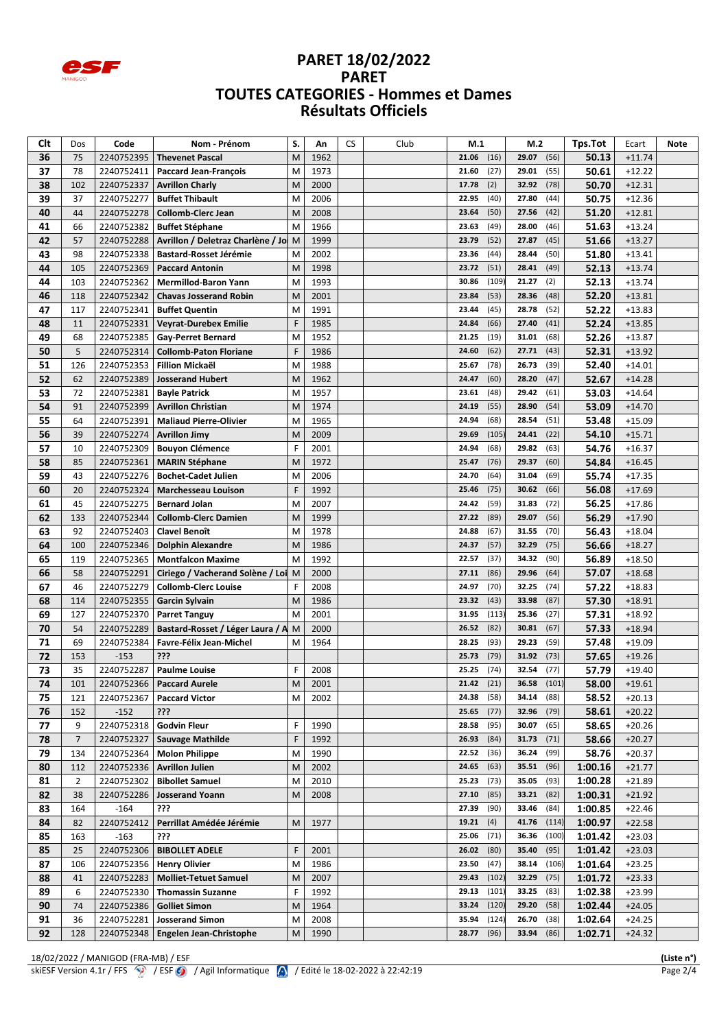

| Clt | Dos            | Code       | Nom - Prénom                      | S. | Αn   | <b>CS</b> | Club | M.1               | M.2            | Tps.Tot | Ecart    | Note |
|-----|----------------|------------|-----------------------------------|----|------|-----------|------|-------------------|----------------|---------|----------|------|
| 36  | 75             | 2240752395 | <b>Thevenet Pascal</b>            | M  | 1962 |           |      | 21.06<br>(16)     | 29.07<br>(56)  | 50.13   | $+11.74$ |      |
| 37  | 78             | 2240752411 | <b>Paccard Jean-François</b>      | M  | 1973 |           |      | 21.60<br>(27)     | 29.01<br>(55)  | 50.61   | $+12.22$ |      |
| 38  | 102            | 2240752337 | <b>Avrillon Charly</b>            | M  | 2000 |           |      | (2)<br>17.78      | 32.92<br>(78)  | 50.70   | $+12.31$ |      |
| 39  | 37             | 2240752277 | <b>Buffet Thibault</b>            | M  | 2006 |           |      | (40)<br>22.95     | 27.80<br>(44)  | 50.75   | $+12.36$ |      |
| 40  | 44             | 2240752278 | <b>Collomb-Clerc Jean</b>         | M  | 2008 |           |      | (50)<br>23.64     | 27.56<br>(42)  | 51.20   | $+12.81$ |      |
| 41  | 66             | 2240752382 | <b>Buffet Stéphane</b>            | M  | 1966 |           |      | (49)<br>23.63     | 28.00<br>(46)  | 51.63   | $+13.24$ |      |
| 42  | 57             | 2240752288 | Avrillon / Deletraz Charlène / Jo | M  | 1999 |           |      | (52)<br>23.79     | 27.87<br>(45)  | 51.66   | $+13.27$ |      |
| 43  | 98             | 2240752338 | <b>Bastard-Rosset Jérémie</b>     | M  | 2002 |           |      | 23.36<br>(44)     | 28.44<br>(50)  | 51.80   | $+13.41$ |      |
| 44  | 105            | 2240752369 | <b>Paccard Antonin</b>            | M  | 1998 |           |      | 23.72<br>(51)     | 28.41<br>(49)  | 52.13   | $+13.74$ |      |
| 44  | 103            | 2240752362 | <b>Mermillod-Baron Yann</b>       | M  | 1993 |           |      | (109)<br>30.86    | 21.27<br>(2)   | 52.13   | $+13.74$ |      |
| 46  | 118            | 2240752342 | <b>Chavas Josserand Robin</b>     | M  | 2001 |           |      | (53)<br>23.84     | 28.36<br>(48)  | 52.20   | $+13.81$ |      |
| 47  | 117            | 2240752341 | <b>Buffet Quentin</b>             | M  | 1991 |           |      | (45)<br>23.44     | 28.78<br>(52)  | 52.22   | $+13.83$ |      |
| 48  | 11             | 2240752331 | <b>Veyrat-Durebex Emilie</b>      | F  | 1985 |           |      | (66)<br>24.84     | 27.40<br>(41)  | 52.24   | $+13.85$ |      |
| 49  | 68             | 2240752385 | <b>Gay-Perret Bernard</b>         | M  | 1952 |           |      | 21.25<br>(19)     | 31.01<br>(68)  | 52.26   | $+13.87$ |      |
| 50  | 5              | 2240752314 | <b>Collomb-Paton Floriane</b>     |    | 1986 |           |      | 24.60<br>(62)     | 27.71<br>(43)  | 52.31   | $+13.92$ |      |
| 51  | 126            | 2240752353 | <b>Fillion Mickaël</b>            | M  | 1988 |           |      | (78)<br>25.67     | 26.73<br>(39)  | 52.40   | $+14.01$ |      |
| 52  | 62             | 2240752389 | <b>Josserand Hubert</b>           | M  | 1962 |           |      | (60)<br>24.47     | 28.20<br>(47)  | 52.67   | $+14.28$ |      |
| 53  | 72             | 2240752381 | <b>Bayle Patrick</b>              | M  | 1957 |           |      | 23.61<br>(48)     | 29.42<br>(61)  | 53.03   | $+14.64$ |      |
| 54  | 91             | 2240752399 | <b>Avrillon Christian</b>         | M  | 1974 |           |      | (55)<br>24.19     | 28.90<br>(54)  | 53.09   | $+14.70$ |      |
| 55  | 64             | 2240752391 | <b>Maliaud Pierre-Olivier</b>     | M  | 1965 |           |      | (68)<br>24.94     | 28.54<br>(51)  | 53.48   | $+15.09$ |      |
| 56  | 39             | 2240752274 | <b>Avrillon Jimy</b>              | M  | 2009 |           |      | (105)<br>29.69    | 24.41<br>(22)  | 54.10   | $+15.71$ |      |
| 57  | 10             | 2240752309 | <b>Bouyon Clémence</b>            | F  | 2001 |           |      | 24.94<br>(68)     | 29.82<br>(63)  | 54.76   | $+16.37$ |      |
| 58  | 85             | 2240752361 | <b>MARIN Stéphane</b>             | M  | 1972 |           |      | (76)<br>25.47     | 29.37<br>(60)  | 54.84   | $+16.45$ |      |
| 59  | 43             | 2240752276 | <b>Bochet-Cadet Julien</b>        | M  | 2006 |           |      | (64)<br>24.70     | 31.04<br>(69)  | 55.74   | $+17.35$ |      |
| 60  | 20             | 2240752324 | <b>Marchesseau Louison</b>        | F  | 1992 |           |      | (75)<br>25.46     | 30.62<br>(66)  | 56.08   | $+17.69$ |      |
| 61  | 45             | 2240752275 | <b>Bernard Jolan</b>              | M  | 2007 |           |      | 24.42<br>(59)     | 31.83<br>(72)  | 56.25   | $+17.86$ |      |
| 62  | 133            | 2240752344 | <b>Collomb-Clerc Damien</b>       | M  | 1999 |           |      | 27.22<br>(89)     | 29.07<br>(56)  | 56.29   | $+17.90$ |      |
| 63  | 92             | 2240752403 | <b>Clavel Benoît</b>              | M  | 1978 |           |      | 24.88<br>(67)     | 31.55<br>(70)  | 56.43   | $+18.04$ |      |
| 64  | 100            | 2240752346 | <b>Dolphin Alexandre</b>          | M  | 1986 |           |      | (57)<br>24.37     | 32.29<br>(75)  | 56.66   | $+18.27$ |      |
| 65  | 119            | 2240752365 | <b>Montfalcon Maxime</b>          | M  | 1992 |           |      | (37)<br>22.57     | 34.32<br>(90)  | 56.89   | $+18.50$ |      |
| 66  | 58             | 2240752291 | Ciriego / Vacherand Solène / Loi  | M  | 2000 |           |      | (86)<br>27.11     | 29.96<br>(64)  | 57.07   | $+18.68$ |      |
| 67  | 46             | 2240752279 | <b>Collomb-Clerc Louise</b>       | F  | 2008 |           |      | (70)<br>24.97     | 32.25<br>(74)  | 57.22   | $+18.83$ |      |
| 68  | 114            | 2240752355 | Garcin Sylvain                    | M  | 1986 |           |      | (43)<br>23.32     | 33.98<br>(87)  | 57.30   | $+18.91$ |      |
| 69  | 127            | 2240752370 | <b>Parret Tanguy</b>              | M  | 2001 |           |      | (113)<br>31.95    | 25.36<br>(27)  | 57.31   | $+18.92$ |      |
| 70  | 54             | 2240752289 | Bastard-Rosset / Léger Laura / A  | M  | 2000 |           |      | (82)<br>26.52     | 30.81<br>(67)  | 57.33   | $+18.94$ |      |
| 71  | 69             | 2240752384 | Favre-Félix Jean-Michel           | M  | 1964 |           |      | (93)<br>28.25     | 29.23<br>(59)  | 57.48   | $+19.09$ |      |
| 72  | 153            | $-153$     | ???                               |    |      |           |      | (79)<br>25.73     | 31.92<br>(73)  | 57.65   | $+19.26$ |      |
| 73  | 35             | 2240752287 | <b>Paulme Louise</b>              |    | 2008 |           |      | (74)<br>25.25     | 32.54<br>(77)  | 57.79   | $+19.40$ |      |
| 74  | 101            | 2240752366 | <b>Paccard Aurele</b>             | M  | 2001 |           |      | <b>21.42</b> (21) | (101)<br>36.58 | 58.00   | $+19.61$ |      |
| 75  | 121            | 2240752367 | <b>Paccard Victor</b>             | M  | 2002 |           |      | 24.38<br>(58)     | 34.14<br>(88)  | 58.52   | $+20.13$ |      |
| 76  | 152            | $-152$     | ???                               |    |      |           |      | 25.65<br>(77)     | 32.96<br>(79)  | 58.61   | $+20.22$ |      |
| 77  | 9              | 2240752318 | <b>Godvin Fleur</b>               | F  | 1990 |           |      | (95)<br>28.58     | 30.07<br>(65)  | 58.65   | $+20.26$ |      |
| 78  | $\overline{7}$ | 2240752327 | Sauvage Mathilde                  | F  | 1992 |           |      | (84)<br>26.93     | 31.73<br>(71)  | 58.66   | $+20.27$ |      |
| 79  | 134            | 2240752364 | <b>Molon Philippe</b>             | M  | 1990 |           |      | 22.52<br>(36)     | 36.24<br>(99)  | 58.76   | $+20.37$ |      |
| 80  | 112            | 2240752336 | <b>Avrillon Julien</b>            | M  | 2002 |           |      | (63)<br>24.65     | 35.51<br>(96)  | 1:00.16 | $+21.77$ |      |
| 81  | $\overline{2}$ | 2240752302 | <b>Bibollet Samuel</b>            | M  | 2010 |           |      | (73)<br>25.23     | 35.05<br>(93)  | 1:00.28 | $+21.89$ |      |
| 82  | 38             | 2240752286 | <b>Josserand Yoann</b>            | M  | 2008 |           |      | (85)<br>27.10     | 33.21<br>(82)  | 1:00.31 | $+21.92$ |      |
| 83  | 164            | $-164$     | ???                               |    |      |           |      | (90)<br>27.39     | 33.46<br>(84)  | 1:00.85 | $+22.46$ |      |
| 84  | 82             | 2240752412 | Perrillat Amédée Jérémie          | M  | 1977 |           |      | 19.21<br>(4)      | 41.76<br>(114) | 1:00.97 | $+22.58$ |      |
| 85  | 163            | $-163$     | ???                               |    |      |           |      | (71)<br>25.06     | 36.36<br>(100) | 1:01.42 | $+23.03$ |      |
| 85  | 25             | 2240752306 | <b>BIBOLLET ADELE</b>             | F  | 2001 |           |      | (80)<br>26.02     | (95)<br>35.40  | 1:01.42 | $+23.03$ |      |
| 87  | 106            | 2240752356 | <b>Henry Olivier</b>              | M  | 1986 |           |      | 23.50<br>(47)     | 38.14<br>(106) | 1:01.64 | $+23.25$ |      |
| 88  | 41             | 2240752283 | <b>Molliet-Tetuet Samuel</b>      | M  | 2007 |           |      | 29.43<br>(102)    | 32.29<br>(75)  | 1:01.72 | $+23.33$ |      |
| 89  | 6              | 2240752330 | <b>Thomassin Suzanne</b>          | F  | 1992 |           |      | 29.13<br>(101)    | 33.25<br>(83)  | 1:02.38 | $+23.99$ |      |
| 90  | 74             | 2240752386 | <b>Golliet Simon</b>              | M  | 1964 |           |      | (120)<br>33.24    | 29.20<br>(58)  | 1:02.44 | $+24.05$ |      |
| 91  | 36             | 2240752281 | <b>Josserand Simon</b>            | M  | 2008 |           |      | 35.94<br>(124)    | 26.70<br>(38)  | 1:02.64 | $+24.25$ |      |
| 92  | 128            | 2240752348 | Engelen Jean-Christophe           | M  | 1990 |           |      | (96)<br>28.77     | (86)<br>33.94  | 1:02.71 | +24.32   |      |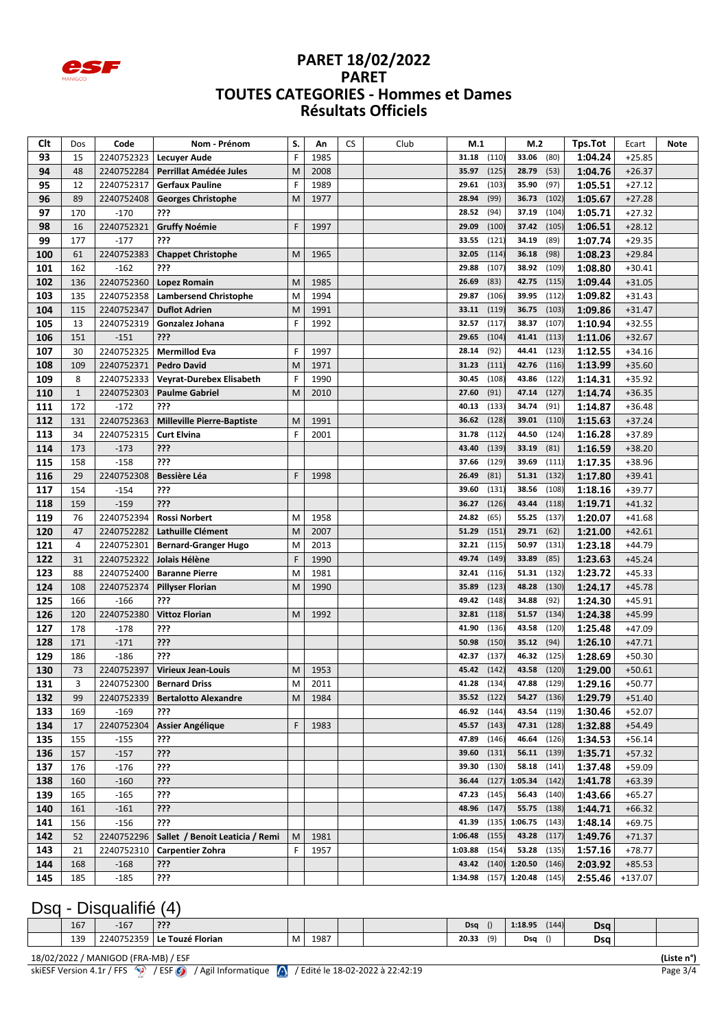

| Clt        | Dos          | Code             | Nom - Prénom                                 | S. | Αn   | <b>CS</b> | Club | M.1            |                | M.2            |                | Tps.Tot            | Ecart                | Note |
|------------|--------------|------------------|----------------------------------------------|----|------|-----------|------|----------------|----------------|----------------|----------------|--------------------|----------------------|------|
| 93         | 15           | 2240752323       | <b>Lecuyer Aude</b>                          | F  | 1985 |           |      | 31.18          | (110)          | 33.06          | (80)           | 1:04.24            | $+25.85$             |      |
| 94         | 48           | 2240752284       | Perrillat Amédée Jules                       | M  | 2008 |           |      | 35.97          | (125)          | 28.79          | (53)           | 1:04.76            | $+26.37$             |      |
| 95         | 12           | 2240752317       | <b>Gerfaux Pauline</b>                       | F  | 1989 |           |      | 29.61          | (103)          | 35.90          | (97)           | 1:05.51            | $+27.12$             |      |
| 96         | 89           | 2240752408       | <b>Georges Christophe</b>                    | M  | 1977 |           |      | 28.94          | (99)           | 36.73          | (102)          | 1:05.67            | $+27.28$             |      |
| 97         | 170          | $-170$           | ???                                          |    |      |           |      | 28.52          | (94)           | 37.19          | (104)          | 1:05.71            | $+27.32$             |      |
| 98         | 16           | 2240752321       | <b>Gruffy Noémie</b>                         | F  | 1997 |           |      | 29.09          | (100)          | 37.42          | (105)          | 1:06.51            | $+28.12$             |      |
| 99         | 177          | $-177$           | ???                                          |    |      |           |      | 33.55          | (121)          | 34.19          | (89)           | 1:07.74            | $+29.35$             |      |
| 100        | 61           | 2240752383       | <b>Chappet Christophe</b>                    | M  | 1965 |           |      | 32.05          | (114)          | 36.18          | (98)           | 1:08.23            | $+29.84$             |      |
| 101        | 162          | $-162$           | ???                                          |    |      |           |      | 29.88          | (107)          | 38.92          | (109)          | 1:08.80            | $+30.41$             |      |
| 102        | 136          | 2240752360       | Lopez Romain                                 | M  | 1985 |           |      | 26.69          | (83)           | 42.75          | (115)          | 1:09.44            | $+31.05$             |      |
| 103        | 135          | 2240752358       | <b>Lambersend Christophe</b>                 | M  | 1994 |           |      | 29.87          | (106)          | 39.95          | (112)          | 1:09.82            | $+31.43$             |      |
| 104        | 115          | 2240752347       | <b>Duflot Adrien</b>                         | M  | 1991 |           |      | 33.11          | (119)          | 36.75          | (103)          | 1:09.86            | $+31.47$             |      |
| 105        | 13           | 2240752319       | Gonzalez Johana                              | F  | 1992 |           |      | 32.57          | (117)          | 38.37          | (107)          | 1:10.94            | $+32.55$             |      |
| 106        | 151          | $-151$           | ???                                          |    |      |           |      | 29.65          | (104)          | 41.41          | (113)          | 1:11.06            | $+32.67$             |      |
| 107        | 30           | 2240752325       | <b>Mermillod Eva</b>                         | F  | 1997 |           |      | 28.14          | (92)           | 44.41          | (123)          | 1:12.55            | $+34.16$             |      |
| 108        | 109          | 2240752371       | <b>Pedro David</b>                           | M  | 1971 |           |      | 31.23          | (111)          | 42.76          | (116)          | 1:13.99            | $+35.60$             |      |
| 109        | 8            | 2240752333       | <b>Veyrat-Durebex Elisabeth</b>              | F  | 1990 |           |      | 30.45          | (108)          | 43.86          | (122)          | 1:14.31            | $+35.92$             |      |
| 110        | $\mathbf{1}$ | 2240752303       | <b>Paulme Gabriel</b>                        | M  | 2010 |           |      | 27.60          | (91)           | 47.14          | (127)          | 1:14.74            | $+36.35$             |      |
| 111        | 172          | $-172$           | ???                                          |    |      |           |      | 40.13          | (133)          | 34.74          | (91)           | 1:14.87            | $+36.48$             |      |
| 112        | 131          | 2240752363       | <b>Milleville Pierre-Baptiste</b>            | M  | 1991 |           |      | 36.62          | (128)          | 39.01          | (110)          | 1:15.63            | $+37.24$             |      |
| 113        | 34           | 2240752315       | <b>Curt Elvina</b>                           | F  | 2001 |           |      | 31.78          | (112)          | 44.50          | (124)          | 1:16.28            | $+37.89$             |      |
| 114        | 173          | $-173$           | ???                                          |    |      |           |      | 43.40          | (139)          | 33.19          | (81)           | 1:16.59            | $+38.20$             |      |
| 115        | 158          | $-158$           | ???                                          |    |      |           |      | 37.66          | (129)          | 39.69          | (111)          | 1:17.35            | +38.96               |      |
| 116        | 29           | 2240752308       | <b>Bessière Léa</b>                          | F  | 1998 |           |      | 26.49          | (81)           | 51.31          | (132)          | 1:17.80            | $+39.41$             |      |
| 117        | 154          | $-154$           | ???                                          |    |      |           |      | 39.60          | (131)          | 38.56          | (108)          | 1:18.16            | $+39.77$             |      |
| 118        | 159          | $-159$           | ???                                          |    |      |           |      | 36.27          | (126)          | 43.44          | (118)          | 1:19.71            | $+41.32$             |      |
| 119        | 76           | 2240752394       | <b>Rossi Norbert</b>                         | M  | 1958 |           |      | 24.82          | (65)           | 55.25          | (137)          | 1:20.07            | $+41.68$             |      |
| 120        | 47           | 2240752282       | Lathuille Clément                            | M  | 2007 |           |      | 51.29          | (151)          | 29.71          | (62)           | 1:21.00            | $+42.61$             |      |
| 121        | 4            | 2240752301       | <b>Bernard-Granger Hugo</b>                  | M  | 2013 |           |      | 32.21          | (115           | 50.97          | (131)          | 1:23.18            | $+44.79$             |      |
| 122        | 31           | 2240752322       | Jolais Hélène                                | F  | 1990 |           |      | 49.74          | (149)          | 33.89          | (85)           | 1:23.63            | $+45.24$             |      |
| 123        | 88           | 2240752400       | <b>Baranne Pierre</b>                        | M  | 1981 |           |      | 32.41          | (116)          | 51.31          | (132)          | 1:23.72            | $+45.33$             |      |
| 124        | 108          | 2240752374       | <b>Pillyser Florian</b>                      | M  | 1990 |           |      | 35.89          | (123)          | 48.28          | (130)          | 1:24.17            | $+45.78$             |      |
| 125        | 166          | $-166$           | ???                                          |    |      |           |      | 49.42          | (148)          | 34.88          | (92)           | 1:24.30            | $+45.91$             |      |
| 126        | 120          | 2240752380       | <b>Vittoz Florian</b>                        | M  | 1992 |           |      | 32.81          | (118)          | 51.57          | (134)          | 1:24.38            | $+45.99$             |      |
| 127        | 178          | $-178$           | ???                                          |    |      |           |      | 41.90          | (136)          | 43.58          | (120)          | 1:25.48            | $+47.09$             |      |
| 128        | 171          | $-171$           | ???                                          |    |      |           |      | 50.98          | (150)          | 35.12          | (94)           | 1:26.10            | $+47.71$             |      |
| 129        | 186          | $-186$           | ???                                          |    |      |           |      | 42.37          | (137)          | 46.32          | (125)          | 1:28.69            | $+50.30$             |      |
| 130        | 73           | 2240752397       | <b>Virieux Jean-Louis</b>                    | M  | 1953 |           |      | 45.42 (142     |                | 43.58          | (120)          | 1:29.00            | $+50.61$             |      |
| 131        | 3            |                  | 2240752300   Bernard Driss                   | M  | 2011 |           |      | $41.28$ (134)  |                | 47.88 (129)    |                | 1:29.16            | $+50.77$             |      |
| 132        | 99           |                  | 2240752339   Bertalotto Alexandre            | M  | 1984 |           |      | 35.52          | (122)          | 54.27          | (136)          | 1:29.79            | $+51.40$             |      |
| 133        | 169          | $-169$           | ???                                          |    |      |           |      | 46.92          | (144)          | 43.54          | (119)          | 1:30.46            | $+52.07$             |      |
| 134        | 17           |                  | 2240752304   Assier Angélique                | F. | 1983 |           |      | 45.57          | (143)          | 47.31          | (128)          | 1:32.88            | $+54.49$             |      |
| 135        | 155          | $-155$           | ???                                          |    |      |           |      | 47.89          | (146)          | 46.64          | (126)          | 1:34.53            | $+56.14$             |      |
| 136        | 157          | $-157$           | ???                                          |    |      |           |      | 39.60          | (131)          | 56.11          | (139)          | 1:35.71            | $+57.32$             |      |
| 137        | 176          | $-176$           | ???                                          |    |      |           |      | 39.30          | (130)          | 58.18          | (141)          | 1:37.48            | $+59.09$             |      |
| 138        | 160          | $-160$           | ???                                          |    |      |           |      | 36.44          | (127)          | 1:05.34        | (142)          | 1:41.78            | $+63.39$             |      |
| 139        | 165          | $-165$<br>$-161$ | ???<br>???                                   |    |      |           |      | 47.23<br>48.96 | (145)<br>(147) | 56.43<br>55.75 | (140)<br>(138) | 1:43.66            | $+65.27$             |      |
| 140<br>141 | 161<br>156   | $-156$           | ???                                          |    |      |           |      | 41.39          | (135)          | 1:06.75        | (143)          | 1:44.71<br>1:48.14 | $+66.32$<br>$+69.75$ |      |
| 142        | 52           |                  | 2240752296   Sallet / Benoit Leaticia / Remi | M  | 1981 |           |      | 1:06.48        | (155)          | 43.28          | (117)          | 1:49.76            | $+71.37$             |      |
| 143        | 21           | 2240752310       | <b>Carpentier Zohra</b>                      | F  | 1957 |           |      | 1:03.88        | (154)          | 53.28          | (135)          | 1:57.16            | $+78.77$             |      |
| 144        | 168          | $-168$           | ???                                          |    |      |           |      | 43.42          | (140)          | 1:20.50        | (146)          | 2:03.92            | $+85.53$             |      |
| 145        | 185          | $-185$           | ???                                          |    |      |           |      | 1:34.98        | (157)          | 1:20.48        | (145)          | 2:55.46            | $+137.07$            |      |
|            |              |                  |                                              |    |      |           |      |                |                |                |                |                    |                      |      |

# Dsq - Disqualifié (4)

| 167         | $-167$              | ???                  |   |      |  | Dsq   | $\mathbf{U}$ | .10 <sub>0</sub><br> | (144) | <b>Dsg</b> |  |
|-------------|---------------------|----------------------|---|------|--|-------|--------------|----------------------|-------|------------|--|
| 139<br>$ -$ | 240752359<br>, טכפר | Touzé Florian<br>י י | M | 1987 |  | 20.33 | (9)          | Dsa                  |       | Dsa        |  |
|             |                     |                      |   |      |  |       |              |                      |       |            |  |

18/02/2022 / MANIGOD (FRA-MB) / ESF **(Liste n°)** skiESF Version 4.1r / FFS  $\bigcirc$  / ESF  $\bigcirc$  / Agil Informatique  $\bigwedge$  / Edité le 18-02-2022 à 22:42:19 Page 3/4